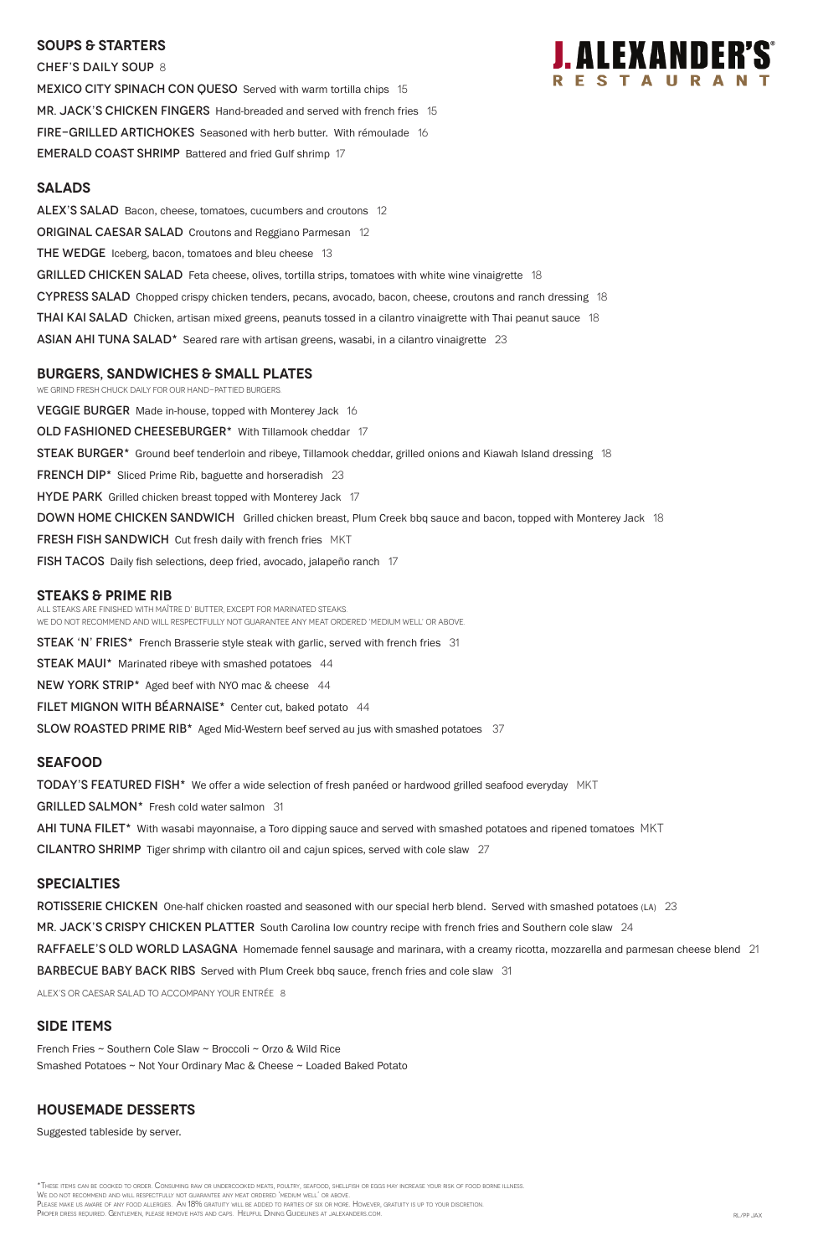### **SOUPS & Starters**

CHEF'S DAILY SOUP 8 MEXICO CITY SPINACH CON QUESO Served with warm tortilla chips 15 MR. JACK'S CHICKEN FINGERS Hand-breaded and served with french fries 15 FIRE-GRILLED ARTICHOKES Seasoned with herb butter. With rémoulade 16 EMERALD COAST SHRIMP Battered and fried Gulf shrimp 17

# **J.ALEXANDER'S**

#### **Salads**

ALEX'S SALAD Bacon, cheese, tomatoes, cucumbers and croutons 12 **ORIGINAL CAESAR SALAD** Croutons and Reggiano Parmesan 12 **THE WEDGE** Iceberg, bacon, tomatoes and bleu cheese 13 GRILLED CHICKEN SALAD Feta cheese, olives, tortilla strips, tomatoes with white wine vinaigrette 18 CYPRESS SALAD Chopped crispy chicken tenders, pecans, avocado, bacon, cheese, croutons and ranch dressing 18 **THAI KAI SALAD** Chicken, artisan mixed greens, peanuts tossed in a cilantro vinaigrette with Thai peanut sauce 18 ASIAN AHI TUNA SALAD $*$  Seared rare with artisan greens, wasabi, in a cilantro vinaigrette 23

**VEGGIE BURGER** Made in-house, topped with Monterey Jack 16 OLD FASHIONED CHEESEBURGER\* With Tillamook cheddar 17 **STEAK BURGER\*** Ground beef tenderloin and ribeye, Tillamook cheddar, grilled onions and Kiawah Island dressing 18 FRENCH DIP<sup>\*</sup> Sliced Prime Rib, baguette and horseradish 23 **HYDE PARK** Grilled chicken breast topped with Monterey Jack 17 DOWN HOME CHICKEN SANDWICH Grilled chicken breast, Plum Creek bbq sauce and bacon, topped with Monterey Jack 18 **FRESH FISH SANDWICH** Cut fresh daily with french fries MKT fish TACOS Daily fish selections, deep fried, avocado, jalapeño ranch 17

### **burgers, Sandwiches & small plates**

We grind fresh chuck daily for our hand-pattied burgers.

#### **STEAKS & Prime Rib**

\*These items can be cooked to order. Consuming raw or undercooked meats, poultry, seafood, shellfish or eggs may increase your risk of food borne illness. We do not recommend and will respectfully not guarantee any meat ordered 'medium well' or above. PLEASE MAKE US AWARE OF ANY FOOD ALLERGIES. AN 18% GRATUITY WILL BE ADDED TO PARTIES OF SIX OR MORE. HOWEVER, GRATUITY IS UP TO YOUR DISCRETION. Proper dress required. Gentlemen, please remove hats and caps. Helpful Dining Guidelines at jalexanders.com. RL/PP JAX

All steaks are finished with Maître d' butter, except for marinated steaks. We do not recommend and will respectfully not guarantee any meat ordered 'medium well' or above.

**STEAK 'N' FRIES\*** French Brasserie style steak with garlic, served with french fries 31

**STEAK MAUI\*** Marinated ribeye with smashed potatoes 44

NEW YORK STRIP\* Aged beef with NYO mac & cheese 44

FILET MIGNON WITH BÉARNAISE\* Center cut, baked potato 44

SLOW ROASTED PRIME RIB<sup>\*</sup> Aged Mid-Western beef served au jus with smashed potatoes 37

### **SEAFOOD**

**TODAY'S FEATURED FISH\*** We offer a wide selection of fresh panéed or hardwood grilled seafood everyday MKT

GRILLED SALMON\* Fresh cold water salmon 31

AHI TUNA FILET\* With wasabi mayonnaise, a Toro dipping sauce and served with smashed potatoes and ripened tomatoes MKT

CILANTRO SHRIMP Tiger shrimp with cilantro oil and cajun spices, served with cole slaw 27

### **specialties**

ROTISSERIE CHICKEN One-half chicken roasted and seasoned with our special herb blend. Served with smashed potatoes (LA) 23

MR. JACK'S CRISPY CHICKEN PLATTER South Carolina low country recipe with french fries and Southern cole slaw 24

RAFFAELE'S OLD WORLD LASAGNA Homemade fennel sausage and marinara, with a creamy ricotta, mozzarella and parmesan cheese blend 21

**BARBECUE BABY BACK RIBS** Served with Plum Creek bbq sauce, french fries and cole slaw 31

ALEX's or Caesar salad to accompany your entrée 8

### **SIDE ITEMS**

French Fries ~ Southern Cole Slaw ~ Broccoli ~ Orzo & Wild Rice Smashed Potatoes ~ Not Your Ordinary Mac & Cheese ~ Loaded Baked Potato

### **Housemade DESSERTS**

Suggested tableside by server.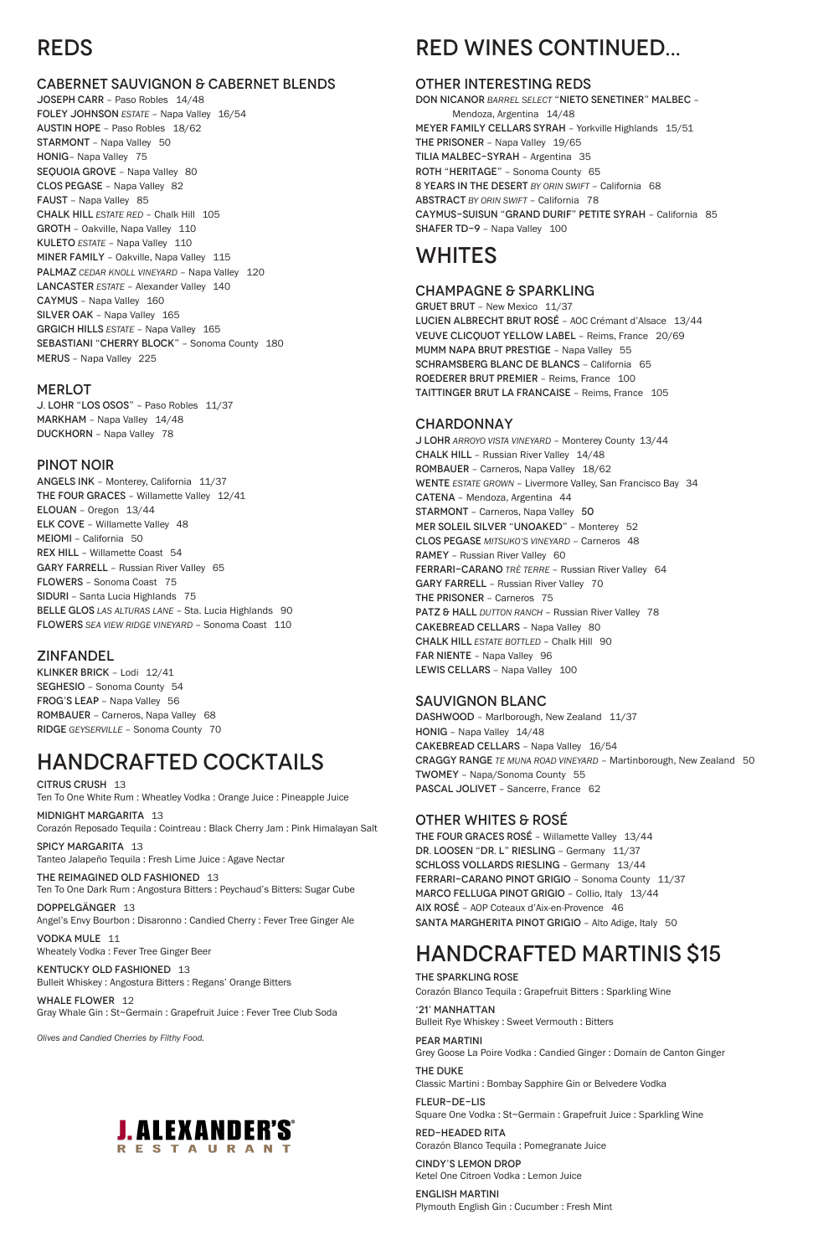### REDS

### CABERNET SAUVIGNON & CABERNET BLENDS

JOSEPH CARR – Paso Robles 14/48 FOLEY JOHNSON *ESTATE* – Napa Valley 16/54 AUSTIN HOPE – Paso Robles 18/62 STARMONT – Napa Valley 50 HONIG– Napa Valley 75 SEQUOIA GROVE - Napa Valley 80 CLOS PEGASE – Napa Valley 82 FAUST – Napa Valley 85 CHALK HILL *ESTATE RED* – Chalk Hill 105 GROTH – Oakville, Napa Valley 110 KULETO *ESTATE* – Napa Valley 110 MINER FAMILY – Oakville, Napa Valley 115 PALMAZ *CEDAR KNOLL VINEYARD* – Napa Valley 120 LANCASTER *ESTATE* – Alexander Valley 140 CAYMUS – Napa Valley 160 SILVER OAK – Napa Valley 165 GRGICH HILLS *ESTATE* – Napa Valley 165 SEBASTIANI "CHERRY BLOCK" – Sonoma County 180 MERUS – Napa Valley 225

### MERLOT

J. LOHR "LOS OSOS" – Paso Robles 11/37 MARKHAM – Napa Valley 14/48 DUCKHORN – Napa Valley 78

#### PINOT NOIR

SPICY MARGARITA 13 Tanteo Jalapeño Tequila : Fresh Lime Juice : Agave Nectar

#### THE REIMAGINED OLD FASHIONED 13 Ten To One Dark Rum : Angostura Bitters : Peychaud's Bitters: Sugar Cube

ANGELS INK – Monterey, California 11/37 THE FOUR GRACES – Willamette Valley 12/41 ELOUAN – Oregon 13/44 ELK COVE – Willamette Valley 48 MEIOMI – California 50 REX HILL – Willamette Coast 54 GARY FARRELL – Russian River Valley 65 FLOWERS – Sonoma Coast 75 SIDURI – Santa Lucia Highlands 75 BELLE GLOS LAS ALTURAS LANE - Sta. Lucia Highlands 90 FLOWERS *SEA VIEW RIDGE VINEYARD* – Sonoma Coast 110

KENTUCKY OLD FASHIONED 13 Bulleit Whiskey : Angostura Bitters : Regans' Orange Bitters

### ZINFANDEL

KLINKER BRICK – Lodi 12/41 SEGHESIO – Sonoma County 54 FROG'S LEAP – Napa Valley 56 ROMBAUER – Carneros, Napa Valley 68 RIDGE *GEYSERVILLE* – Sonoma County 70

### HANDCRAFTED COCKTAILS

CITRUS CRUSH 13 Ten To One White Rum : Wheatley Vodka : Orange Juice : Pineapple Juice J LOHR *ARROYO VISTA VINEYARD* – Monterey County 13/44 CHALK HILL – Russian River Valley 14/48 ROMBAUER – Carneros, Napa Valley 18/62 WENTE *ESTATE GROWN* – Livermore Valley, San Francisco Bay 34 CATENA – Mendoza, Argentina 44 STARMONT – Carneros, Napa Valley 50 MER SOLEIL SILVER "UNOAKED" – Monterey 52 CLOS PEGASE *MITSUKO'S VINEYARD* – Carneros 48 RAMEY – Russian River Valley 60 FERRARI-CARANO *TRÈ TERRE* – Russian River Valley 64 GARY FARRELL – Russian River Valley 70 THE PRISONER – Carneros 75 PATZ & HALL *DUTTON RANCH* – Russian River Valley 78 CAKEBREAD CELLARS – Napa Valley 80 CHALK HILL *ESTATE BOTTLED* – Chalk Hill 90 FAR NIENTE – Napa Valley 96 LEWIS CELLARS - Napa Valley 100

MIDNIGHT MARGARITA 13 Corazón Reposado Tequila : Cointreau : Black Cherry Jam : Pink Himalayan Salt

DOPPELGÄNGER 13 Angel's Envy Bourbon : Disaronno : Candied Cherry : Fever Tree Ginger Ale

VODKA MULE 11 Wheately Vodka : Fever Tree Ginger Beer

WHALE FLOWER 12 Gray Whale Gin : St~Germain : Grapefruit Juice : Fever Tree Club Soda

*Olives and Candied Cherries by Filthy Food.*



## RED WINES CONTINUED...

### OTHER INTERESTING REDS

DON NICANOR *BARREL SELECT* "NIETO SENETINER" MALBEC – Mendoza, Argentina 14/48 MEYER FAMILY CELLARS SYRAH – Yorkville Highlands 15/51 THE PRISONER – Napa Valley 19/65 TILIA MALBEC-SYRAH – Argentina 35 ROTH "HERITAGE" – Sonoma County 65 8 YEARS IN THE DESERT *BY ORIN SWIFT* – California 68 ABSTRACT *BY ORIN SWIFT* – California 78 CAYMUS-SUISUN "GRAND DURIF" PETITE SYRAH – California 85 SHAFER TD-9 – Napa Valley 100

### WHITES

### CHAMPAGNE & SPARKLING

GRUET BRUT – New Mexico 11/37 LUCIEN ALBRECHT BRUT ROSÉ – AOC Crémant d'Alsace 13/44 VEUVE CLICQUOT YELLOW LABEL – Reims, France 20/69 MUMM NAPA BRUT PRESTIGE – Napa Valley 55 SCHRAMSBERG BLANC DE BLANCS – California 65 ROEDERER BRUT PREMIER – Reims, France 100 TAITTINGER BRUT LA FRANCAISE – Reims, France 105

### CHARDONNAY

### SAUVIGNON BLANC

DASHWOOD - Marlborough, New Zealand 11/37 HONIG – Napa Valley 14/48 CAKEBREAD CELLARS – Napa Valley 16/54 CRAGGY RANGE *TE MUNA ROAD VINEYARD* – Martinborough, New Zealand 50 TWOMEY – Napa/Sonoma County 55 PASCAL JOLIVET - Sancerre, France 62

### OTHER WHITES & ROSÉ

THE FOUR GRACES ROSÉ – Willamette Valley 13/44 DR. LOOSEN "DR. L" RIESLING – Germany 11/37 SCHLOSS VOLLARDS RIESLING – Germany 13/44 FERRARI-CARANO PINOT GRIGIO – Sonoma County 11/37 MARCO FELLUGA PINOT GRIGIO – Collio, Italy 13/44 AIX ROSÉ – AOP Coteaux d'Aix-en-Provence 46 SANTA MARGHERITA PINOT GRIGIO – Alto Adige, Italy 50

### HANDCRAFTED MARTINIS \$15

#### THE SPARKLING ROSE

Corazón Blanco Tequila : Grapefruit Bitters : Sparkling Wine

'21' MANHATTAN Bulleit Rye Whiskey : Sweet Vermouth : Bitters

PEAR MARTINI Grey Goose La Poire Vodka : Candied Ginger : Domain de Canton Ginger

THE DUKE Classic Martini : Bombay Sapphire Gin or Belvedere Vodka

FLEUR-DE-LIS Square One Vodka : St~Germain : Grapefruit Juice : Sparkling Wine

RED-HEADED RITA Corazón Blanco Tequila : Pomegranate Juice

CINDY'S LEMON DROP Ketel One Citroen Vodka : Lemon Juice

ENGLISH MARTINI Plymouth English Gin : Cucumber : Fresh Mint